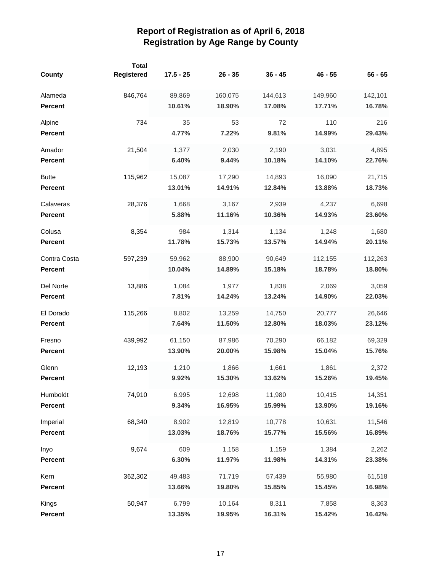| <b>County</b>  | <b>Total</b><br>Registered | $17.5 - 25$ | $26 - 35$ | $36 - 45$ | $46 - 55$ | $56 - 65$ |
|----------------|----------------------------|-------------|-----------|-----------|-----------|-----------|
| Alameda        | 846,764                    | 89,869      | 160,075   | 144,613   | 149,960   | 142,101   |
| <b>Percent</b> |                            | 10.61%      | 18.90%    | 17.08%    | 17.71%    | 16.78%    |
| Alpine         | 734                        | 35          | 53        | 72        | 110       | 216       |
| <b>Percent</b> |                            | 4.77%       | 7.22%     | 9.81%     | 14.99%    | 29.43%    |
| Amador         | 21,504                     | 1,377       | 2,030     | 2,190     | 3,031     | 4,895     |
| <b>Percent</b> |                            | 6.40%       | 9.44%     | 10.18%    | 14.10%    | 22.76%    |
| <b>Butte</b>   | 115,962                    | 15,087      | 17,290    | 14,893    | 16,090    | 21,715    |
| <b>Percent</b> |                            | 13.01%      | 14.91%    | 12.84%    | 13.88%    | 18.73%    |
| Calaveras      | 28,376                     | 1,668       | 3,167     | 2,939     | 4,237     | 6,698     |
| <b>Percent</b> |                            | 5.88%       | 11.16%    | 10.36%    | 14.93%    | 23.60%    |
| Colusa         | 8,354                      | 984         | 1,314     | 1,134     | 1,248     | 1,680     |
| <b>Percent</b> |                            | 11.78%      | 15.73%    | 13.57%    | 14.94%    | 20.11%    |
| Contra Costa   | 597,239                    | 59,962      | 88,900    | 90,649    | 112,155   | 112,263   |
| <b>Percent</b> |                            | 10.04%      | 14.89%    | 15.18%    | 18.78%    | 18.80%    |
| Del Norte      | 13,886                     | 1,084       | 1,977     | 1,838     | 2,069     | 3,059     |
| <b>Percent</b> |                            | 7.81%       | 14.24%    | 13.24%    | 14.90%    | 22.03%    |
| El Dorado      | 115,266                    | 8,802       | 13,259    | 14,750    | 20,777    | 26,646    |
| <b>Percent</b> |                            | 7.64%       | 11.50%    | 12.80%    | 18.03%    | 23.12%    |
| Fresno         | 439,992                    | 61,150      | 87,986    | 70,290    | 66,182    | 69,329    |
| <b>Percent</b> |                            | 13.90%      | 20.00%    | 15.98%    | 15.04%    | 15.76%    |
| Glenn          | 12,193                     | 1,210       | 1,866     | 1,661     | 1,861     | 2,372     |
| Percent        |                            | 9.92%       | 15.30%    | 13.62%    | 15.26%    | 19.45%    |
| Humboldt       | 74,910                     | 6,995       | 12,698    | 11,980    | 10,415    | 14,351    |
| <b>Percent</b> |                            | 9.34%       | 16.95%    | 15.99%    | 13.90%    | 19.16%    |
| Imperial       | 68,340                     | 8,902       | 12,819    | 10,778    | 10,631    | 11,546    |
| <b>Percent</b> |                            | 13.03%      | 18.76%    | 15.77%    | 15.56%    | 16.89%    |
| Inyo           | 9,674                      | 609         | 1,158     | 1,159     | 1,384     | 2,262     |
| Percent        |                            | 6.30%       | 11.97%    | 11.98%    | 14.31%    | 23.38%    |
| Kern           | 362,302                    | 49,483      | 71,719    | 57,439    | 55,980    | 61,518    |
| <b>Percent</b> |                            | 13.66%      | 19.80%    | 15.85%    | 15.45%    | 16.98%    |
| Kings          | 50,947                     | 6,799       | 10,164    | 8,311     | 7,858     | 8,363     |
| Percent        |                            | 13.35%      | 19.95%    | 16.31%    | 15.42%    | 16.42%    |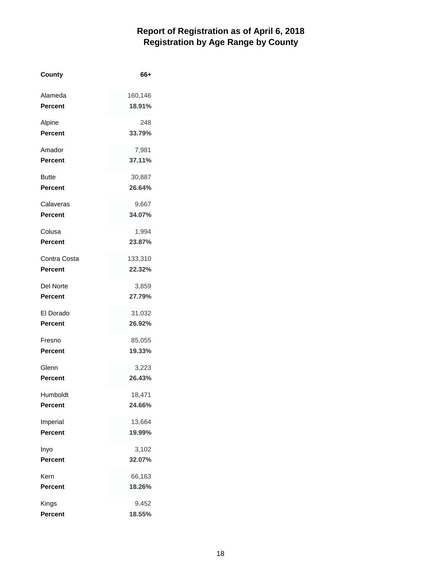| County         | 66+     |
|----------------|---------|
| Alameda        | 160,146 |
| <b>Percent</b> | 18.91%  |
| Alpine         | 248     |
| <b>Percent</b> | 33.79%  |
| Amador         | 7,981   |
| <b>Percent</b> | 37.11%  |
| Butte          | 30,887  |
| <b>Percent</b> | 26.64%  |
| Calaveras      | 9,667   |
| <b>Percent</b> | 34.07%  |
| Colusa         | 1,994   |
| <b>Percent</b> | 23.87%  |
| Contra Costa   | 133,310 |
| <b>Percent</b> | 22.32%  |
| Del Norte      | 3,859   |
| <b>Percent</b> | 27.79%  |
| El Dorado      | 31,032  |
| <b>Percent</b> | 26.92%  |
| Fresno         | 85,055  |
| <b>Percent</b> | 19.33%  |
| Glenn          | 3,223   |
| Percent        | 26.43%  |
| Humboldt       | 18,471  |
| <b>Percent</b> | 24.66%  |
| Imperial       | 13,664  |
| <b>Percent</b> | 19.99%  |
| Inyo           | 3,102   |
| <b>Percent</b> | 32.07%  |
| Kern           | 66,163  |
| Percent        | 18.26%  |
| Kings          | 9,452   |
| <b>Percent</b> | 18.55%  |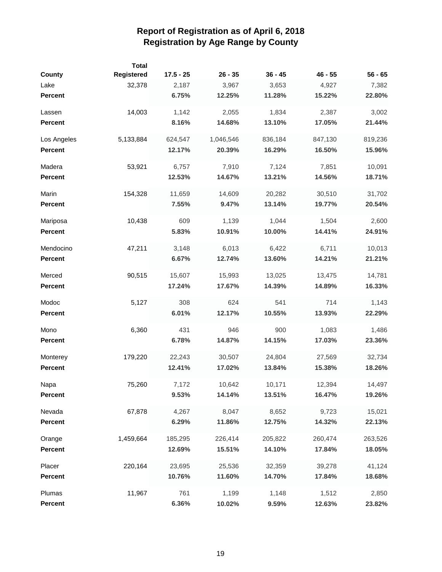| <b>County</b>  | <b>Total</b><br>Registered | $17.5 - 25$ | $26 - 35$ | $36 - 45$ | $46 - 55$ | $56 - 65$ |
|----------------|----------------------------|-------------|-----------|-----------|-----------|-----------|
| Lake           | 32,378                     | 2,187       | 3,967     | 3,653     | 4,927     | 7,382     |
| <b>Percent</b> |                            | 6.75%       | 12.25%    | 11.28%    | 15.22%    | 22.80%    |
| Lassen         | 14,003                     | 1,142       | 2,055     | 1,834     | 2,387     | 3,002     |
| <b>Percent</b> |                            | 8.16%       | 14.68%    | 13.10%    | 17.05%    | 21.44%    |
| Los Angeles    | 5,133,884                  | 624,547     | 1,046,546 | 836,184   | 847,130   | 819,236   |
| <b>Percent</b> |                            | 12.17%      | 20.39%    | 16.29%    | 16.50%    | 15.96%    |
| Madera         | 53,921                     | 6,757       | 7,910     | 7,124     | 7,851     | 10,091    |
| <b>Percent</b> |                            | 12.53%      | 14.67%    | 13.21%    | 14.56%    | 18.71%    |
| Marin          | 154,328                    | 11,659      | 14,609    | 20,282    | 30,510    | 31,702    |
| <b>Percent</b> |                            | 7.55%       | 9.47%     | 13.14%    | 19.77%    | 20.54%    |
| Mariposa       | 10,438                     | 609         | 1,139     | 1,044     | 1,504     | 2,600     |
| <b>Percent</b> |                            | 5.83%       | 10.91%    | 10.00%    | 14.41%    | 24.91%    |
| Mendocino      | 47,211                     | 3,148       | 6,013     | 6,422     | 6,711     | 10,013    |
| <b>Percent</b> |                            | 6.67%       | 12.74%    | 13.60%    | 14.21%    | 21.21%    |
| Merced         | 90,515                     | 15,607      | 15,993    | 13,025    | 13,475    | 14,781    |
| <b>Percent</b> |                            | 17.24%      | 17.67%    | 14.39%    | 14.89%    | 16.33%    |
| Modoc          | 5,127                      | 308         | 624       | 541       | 714       | 1,143     |
| <b>Percent</b> |                            | 6.01%       | 12.17%    | 10.55%    | 13.93%    | 22.29%    |
| Mono           | 6,360                      | 431         | 946       | 900       | 1,083     | 1,486     |
| <b>Percent</b> |                            | 6.78%       | 14.87%    | 14.15%    | 17.03%    | 23.36%    |
| Monterey       | 179,220                    | 22,243      | 30,507    | 24,804    | 27,569    | 32,734    |
| <b>Percent</b> |                            | 12.41%      | 17.02%    | 13.84%    | 15.38%    | 18.26%    |
| Napa           | 75,260                     | 7,172       | 10,642    | 10,171    | 12,394    | 14,497    |
| <b>Percent</b> |                            | 9.53%       | 14.14%    | 13.51%    | 16.47%    | 19.26%    |
| Nevada         | 67,878                     | 4,267       | 8,047     | 8,652     | 9,723     | 15,021    |
| <b>Percent</b> |                            | 6.29%       | 11.86%    | 12.75%    | 14.32%    | 22.13%    |
| Orange         | 1,459,664                  | 185,295     | 226,414   | 205,822   | 260,474   | 263,526   |
| <b>Percent</b> |                            | 12.69%      | 15.51%    | 14.10%    | 17.84%    | 18.05%    |
| Placer         | 220,164                    | 23,695      | 25,536    | 32,359    | 39,278    | 41,124    |
| Percent        |                            | 10.76%      | 11.60%    | 14.70%    | 17.84%    | 18.68%    |
| Plumas         | 11,967                     | 761         | 1,199     | 1,148     | 1,512     | 2,850     |
| <b>Percent</b> |                            | 6.36%       | 10.02%    | 9.59%     | 12.63%    | 23.82%    |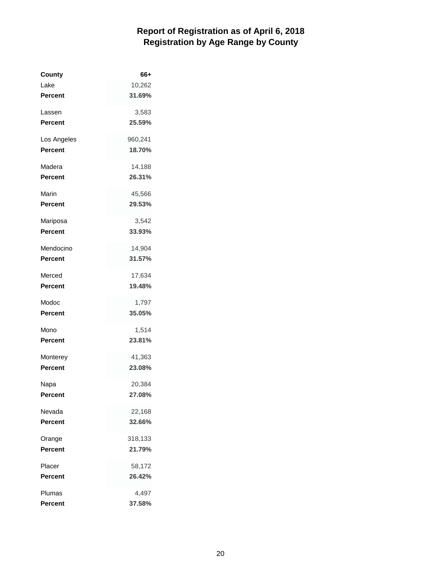| County         | 66+     |
|----------------|---------|
| Lake           | 10,262  |
| <b>Percent</b> | 31.69%  |
| Lassen         | 3,583   |
| <b>Percent</b> | 25.59%  |
| Los Angeles    | 960,241 |
| <b>Percent</b> | 18.70%  |
| Madera         | 14,188  |
| <b>Percent</b> | 26.31%  |
| Marin          | 45,566  |
| <b>Percent</b> | 29.53%  |
| Mariposa       | 3,542   |
| <b>Percent</b> | 33.93%  |
| Mendocino      | 14,904  |
| <b>Percent</b> | 31.57%  |
| Merced         | 17,634  |
| <b>Percent</b> | 19.48%  |
| Modoc          | 1,797   |
| <b>Percent</b> | 35.05%  |
| Mono           | 1,514   |
| <b>Percent</b> | 23.81%  |
| Monterey       | 41,363  |
| <b>Percent</b> | 23.08%  |
| Napa           | 20,384  |
| Percent        | 27.08%  |
| Nevada         | 22,168  |
| <b>Percent</b> | 32.66%  |
| Orange         | 318,133 |
| <b>Percent</b> | 21.79%  |
| Placer         | 58,172  |
| <b>Percent</b> | 26.42%  |
| Plumas         | 4,497   |
| <b>Percent</b> | 37.58%  |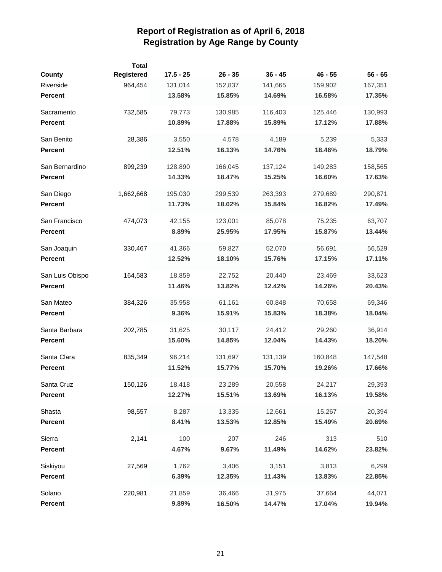| County          | <b>Total</b><br>Registered | $17.5 - 25$ | $26 - 35$ | $36 - 45$ | $46 - 55$ | $56 - 65$ |
|-----------------|----------------------------|-------------|-----------|-----------|-----------|-----------|
| Riverside       | 964,454                    | 131,014     | 152,837   | 141,665   | 159,902   | 167,351   |
| <b>Percent</b>  |                            | 13.58%      | 15.85%    | 14.69%    | 16.58%    | 17.35%    |
| Sacramento      | 732,585                    | 79,773      | 130,985   | 116,403   | 125,446   | 130,993   |
| <b>Percent</b>  |                            | 10.89%      | 17.88%    | 15.89%    | 17.12%    | 17.88%    |
| San Benito      | 28,386                     | 3,550       | 4,578     | 4,189     | 5,239     | 5,333     |
| <b>Percent</b>  |                            | 12.51%      | 16.13%    | 14.76%    | 18.46%    | 18.79%    |
| San Bernardino  | 899,239                    | 128,890     | 166,045   | 137,124   | 149,283   | 158,565   |
| <b>Percent</b>  |                            | 14.33%      | 18.47%    | 15.25%    | 16.60%    | 17.63%    |
| San Diego       | 1,662,668                  | 195,030     | 299,539   | 263,393   | 279,689   | 290,871   |
| Percent         |                            | 11.73%      | 18.02%    | 15.84%    | 16.82%    | 17.49%    |
| San Francisco   | 474,073                    | 42,155      | 123,001   | 85,078    | 75,235    | 63,707    |
| <b>Percent</b>  |                            | 8.89%       | 25.95%    | 17.95%    | 15.87%    | 13.44%    |
| San Joaquin     | 330,467                    | 41,366      | 59,827    | 52,070    | 56,691    | 56,529    |
| <b>Percent</b>  |                            | 12.52%      | 18.10%    | 15.76%    | 17.15%    | 17.11%    |
| San Luis Obispo | 164,583                    | 18,859      | 22,752    | 20,440    | 23,469    | 33,623    |
| <b>Percent</b>  |                            | 11.46%      | 13.82%    | 12.42%    | 14.26%    | 20.43%    |
| San Mateo       | 384,326                    | 35,958      | 61,161    | 60,848    | 70,658    | 69,346    |
| <b>Percent</b>  |                            | 9.36%       | 15.91%    | 15.83%    | 18.38%    | 18.04%    |
| Santa Barbara   | 202,785                    | 31,625      | 30,117    | 24,412    | 29,260    | 36,914    |
| <b>Percent</b>  |                            | 15.60%      | 14.85%    | 12.04%    | 14.43%    | 18.20%    |
| Santa Clara     | 835,349                    | 96,214      | 131,697   | 131,139   | 160,848   | 147,548   |
| <b>Percent</b>  |                            | 11.52%      | 15.77%    | 15.70%    | 19.26%    | 17.66%    |
| Santa Cruz      | 150,126                    | 18,418      | 23,289    | 20,558    | 24,217    | 29,393    |
| <b>Percent</b>  |                            | 12.27%      | 15.51%    | 13.69%    | 16.13%    | 19.58%    |
| Shasta          | 98,557                     | 8,287       | 13,335    | 12,661    | 15,267    | 20,394    |
| <b>Percent</b>  |                            | 8.41%       | 13.53%    | 12.85%    | 15.49%    | 20.69%    |
| Sierra          | 2,141                      | 100         | 207       | 246       | 313       | 510       |
| Percent         |                            | 4.67%       | 9.67%     | 11.49%    | 14.62%    | 23.82%    |
| Siskiyou        | 27,569                     | 1,762       | 3,406     | 3,151     | 3,813     | 6,299     |
| <b>Percent</b>  |                            | 6.39%       | 12.35%    | 11.43%    | 13.83%    | 22.85%    |
| Solano          | 220,981                    | 21,859      | 36,466    | 31,975    | 37,664    | 44,071    |
| <b>Percent</b>  |                            | 9.89%       | 16.50%    | 14.47%    | 17.04%    | 19.94%    |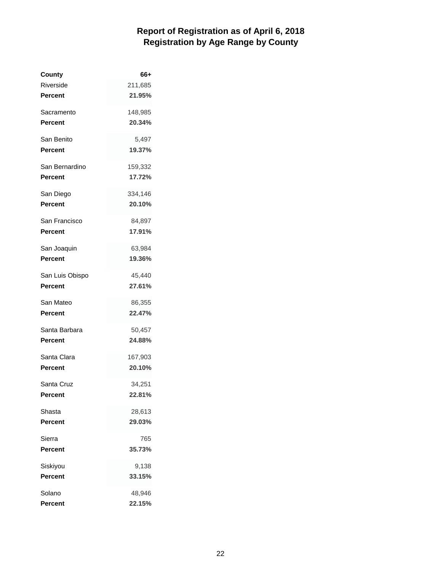| County          | 66+     |
|-----------------|---------|
| Riverside       | 211,685 |
| Percent         | 21.95%  |
| Sacramento      | 148,985 |
| Percent         | 20.34%  |
| San Benito      | 5,497   |
| Percent         | 19.37%  |
| San Bernardino  | 159,332 |
| Percent         | 17.72%  |
| San Diego       | 334,146 |
| Percent         | 20.10%  |
| San Francisco   | 84,897  |
| Percent         | 17.91%  |
| San Joaquin     | 63,984  |
| Percent         | 19.36%  |
| San Luis Obispo | 45,440  |
| Percent         | 27.61%  |
| San Mateo       | 86,355  |
| Percent         | 22.47%  |
| Santa Barbara   | 50,457  |
| Percent         | 24.88%  |
| Santa Clara     | 167,903 |
| Percent         | 20.10%  |
| Santa Cruz      | 34,251  |
| Percent         | 22.81%  |
| Shasta          | 28,613  |
| Percent         | 29.03%  |
| Sierra          | 765     |
| Percent         | 35.73%  |
| Siskiyou        | 9,138   |
| Percent         | 33.15%  |
| Solano          | 48,946  |
| Percent         | 22.15%  |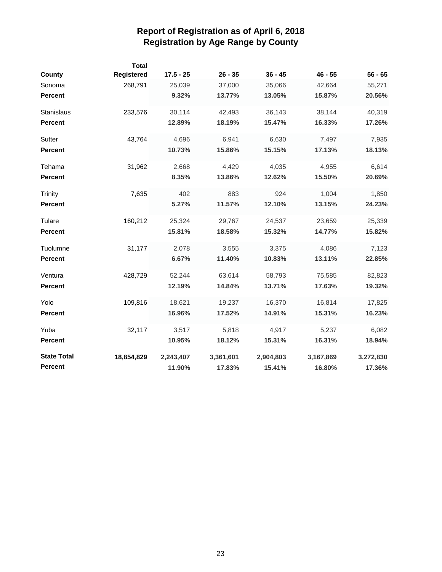| <b>County</b>      | Total<br>Registered | $17.5 - 25$ | $26 - 35$ | $36 - 45$ | $46 - 55$ | $56 - 65$ |
|--------------------|---------------------|-------------|-----------|-----------|-----------|-----------|
| Sonoma             | 268,791             | 25,039      | 37,000    | 35,066    | 42,664    | 55,271    |
| <b>Percent</b>     |                     | 9.32%       | 13.77%    | 13.05%    | 15.87%    | 20.56%    |
| Stanislaus         | 233,576             | 30,114      | 42,493    | 36,143    | 38,144    | 40,319    |
| <b>Percent</b>     |                     | 12.89%      | 18.19%    | 15.47%    | 16.33%    | 17.26%    |
| Sutter             | 43,764              | 4,696       | 6,941     | 6,630     | 7,497     | 7,935     |
| <b>Percent</b>     |                     | 10.73%      | 15.86%    | 15.15%    | 17.13%    | 18.13%    |
| Tehama             | 31,962              | 2,668       | 4,429     | 4,035     | 4,955     | 6,614     |
| <b>Percent</b>     |                     | 8.35%       | 13.86%    | 12.62%    | 15.50%    | 20.69%    |
| <b>Trinity</b>     | 7,635               | 402         | 883       | 924       | 1,004     | 1,850     |
| <b>Percent</b>     |                     | 5.27%       | 11.57%    | 12.10%    | 13.15%    | 24.23%    |
| Tulare             | 160,212             | 25,324      | 29,767    | 24,537    | 23,659    | 25,339    |
| <b>Percent</b>     |                     | 15.81%      | 18.58%    | 15.32%    | 14.77%    | 15.82%    |
| Tuolumne           | 31,177              | 2,078       | 3,555     | 3,375     | 4,086     | 7,123     |
| <b>Percent</b>     |                     | 6.67%       | 11.40%    | 10.83%    | 13.11%    | 22.85%    |
| Ventura            | 428,729             | 52,244      | 63,614    | 58,793    | 75,585    | 82,823    |
| <b>Percent</b>     |                     | 12.19%      | 14.84%    | 13.71%    | 17.63%    | 19.32%    |
| Yolo               | 109,816             | 18,621      | 19,237    | 16,370    | 16,814    | 17,825    |
| <b>Percent</b>     |                     | 16.96%      | 17.52%    | 14.91%    | 15.31%    | 16.23%    |
| Yuba               | 32,117              | 3,517       | 5,818     | 4,917     | 5,237     | 6,082     |
| <b>Percent</b>     |                     | 10.95%      | 18.12%    | 15.31%    | 16.31%    | 18.94%    |
| <b>State Total</b> | 18,854,829          | 2,243,407   | 3,361,601 | 2,904,803 | 3,167,869 | 3,272,830 |
| <b>Percent</b>     |                     | 11.90%      | 17.83%    | 15.41%    | 16.80%    | 17.36%    |